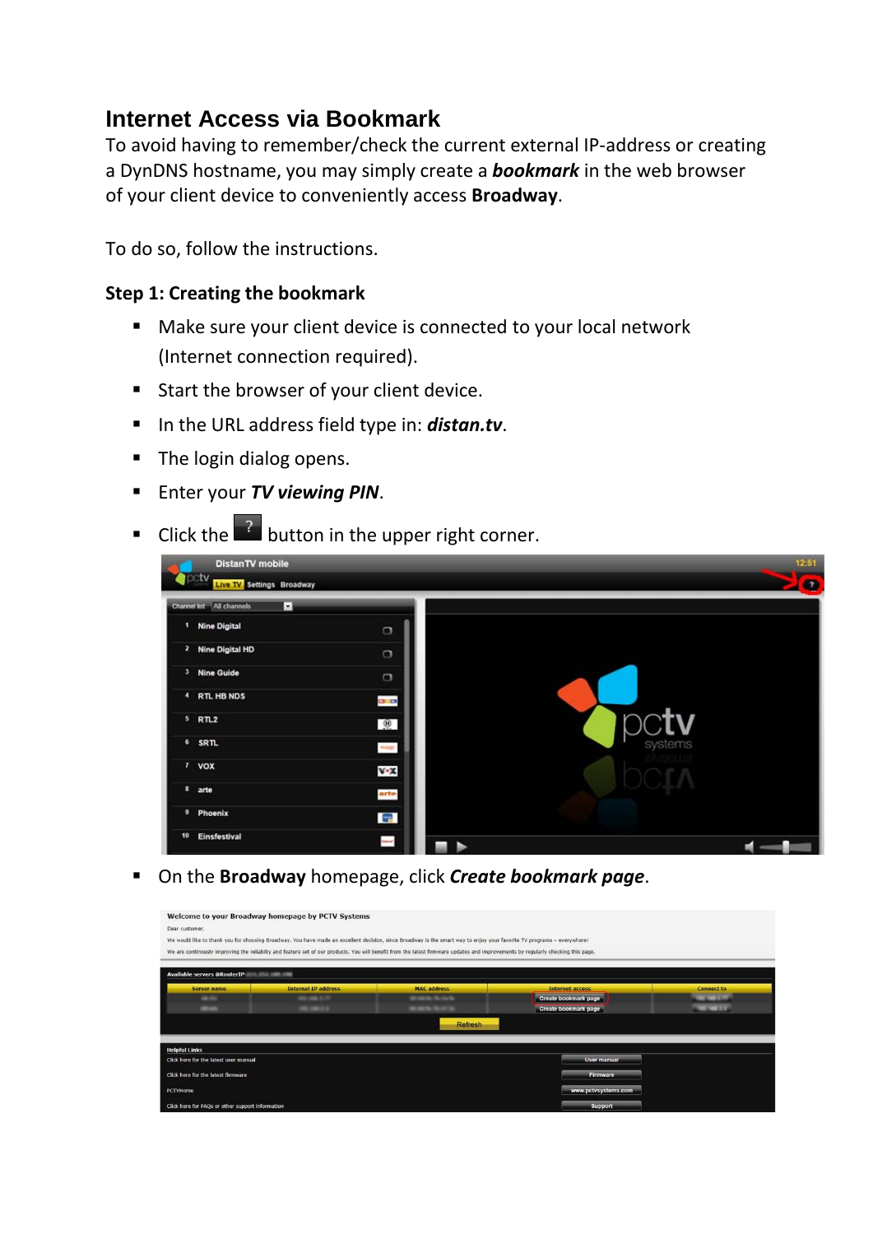## **Internet Access via Bookmark**

To avoid having to remember/check the current external IP-address or creating a DynDNS hostname, you may simply create a *bookmark* in the web browser of your client device to conveniently access **Broadway**.

To do so, follow the instructions.

## **Step 1: Creating the bookmark**

- Make sure your client device is connected to your local network (Internet connection required).
- Start the browser of your client device.
- In the URL address field type in: *distan.tv*.
- The login dialog opens.
- **Enter your TV viewing PIN.**
- $\blacksquare$  Click the  $\blacksquare$  button in the upper right corner.



On the **Broadway** homepage, click *Create bookmark page*.

| Dear customer,                                                                  | Welcome to your Broadway homepage by PCTV Systems | We would like to thank you for choosing Broadway. You have made an excellent decision, since Broadway is the smart way to enjoy your favorite TV programs - everywhere!<br>We are continously improving the reliabilty and feature set of our products. You will benefit from the latest firmware updates and improvements by regularly checking this page. |                             |                    |
|---------------------------------------------------------------------------------|---------------------------------------------------|-------------------------------------------------------------------------------------------------------------------------------------------------------------------------------------------------------------------------------------------------------------------------------------------------------------------------------------------------------------|-----------------------------|--------------------|
|                                                                                 |                                                   |                                                                                                                                                                                                                                                                                                                                                             |                             |                    |
| <b>Available servers @RouterIP: Available servers @RouterIP:</b><br>Server name | <b>Internal IP address</b>                        | <b>MAC address</b>                                                                                                                                                                                                                                                                                                                                          | <b>Internet access</b>      | <b>Connect to</b>  |
| <b>Janette</b>                                                                  | <b>CALL AND A 25</b>                              | <b><i><u><i><b>RADIO BOODS</b></i></u></i></b>                                                                                                                                                                                                                                                                                                              | Create bookmark page        | <b>CALCULATION</b> |
| about a                                                                         | <b>URLINGTON</b>                                  | <b>MINERATOR</b>                                                                                                                                                                                                                                                                                                                                            | <b>Create bookmark page</b> | <b>COLORADO</b>    |
|                                                                                 |                                                   | <b>Refresh</b>                                                                                                                                                                                                                                                                                                                                              |                             |                    |
| <b>Helpful Links</b>                                                            |                                                   |                                                                                                                                                                                                                                                                                                                                                             |                             |                    |
| Click here for the latest user manual                                           |                                                   |                                                                                                                                                                                                                                                                                                                                                             | <b>User manual</b>          |                    |
| Click here for the latest firmware                                              |                                                   | Firmware                                                                                                                                                                                                                                                                                                                                                    |                             |                    |
| PCTVHome                                                                        |                                                   |                                                                                                                                                                                                                                                                                                                                                             | www.pctvsystems.com         |                    |
| Click here for FAQs or other support information                                |                                                   |                                                                                                                                                                                                                                                                                                                                                             | Support                     |                    |